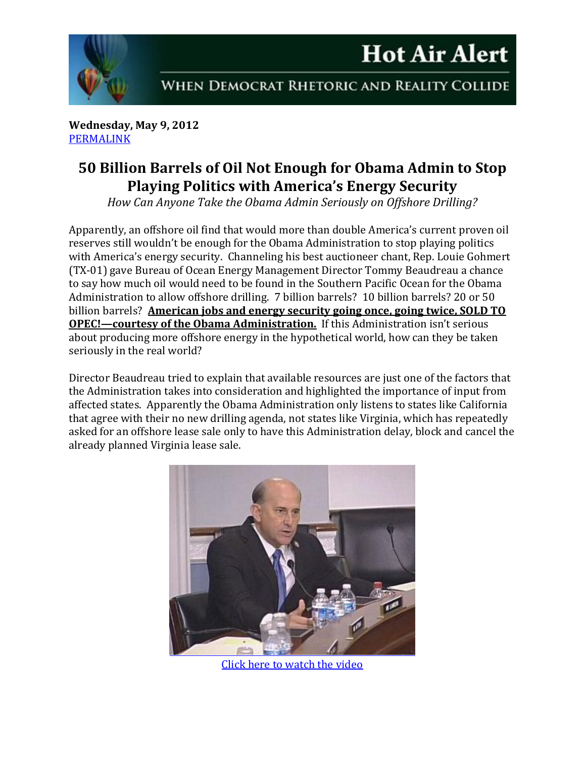## **Hot Air Alert**



WHEN DEMOCRAT RHETORIC AND REALITY COLLIDE

**Wednesday, May 9, 2012** [PERMALINK](http://naturalresources.house.gov/News/DocumentSingle.aspx?DocumentID=294641)

## **50 Billion Barrels of Oil Not Enough for Obama Admin to Stop Playing Politics with America's Energy Security**

*How Can Anyone Take the Obama Admin Seriously on Offshore Drilling?*

Apparently, an offshore oil find that would more than double America's current proven oil reserves still wouldn't be enough for the Obama Administration to stop playing politics with America's energy security. Channeling his best auctioneer chant, Rep. Louie Gohmert (TX-01) gave Bureau of Ocean Energy Management Director Tommy Beaudreau a chance to say how much oil would need to be found in the Southern Pacific Ocean for the Obama Administration to allow offshore drilling. 7 billion barrels? 10 billion barrels? 20 or 50 billion barrels? **American jobs and energy security going once, going twice, SOLD TO OPEC!—courtesy of the Obama Administration.** If this Administration isn't serious about producing more offshore energy in the hypothetical world, how can they be taken seriously in the real world?

Director Beaudreau tried to explain that available resources are just one of the factors that the Administration takes into consideration and highlighted the importance of input from affected states. Apparently the Obama Administration only listens to states like California that agree with their no new drilling agenda, not states like Virginia, which has repeatedly asked for an offshore lease sale only to have this Administration delay, block and cancel the already planned Virginia lease sale.



[Click here to watch the video](http://naturalresources.house.gov/News/DocumentSingle.aspx?DocumentID=294641)